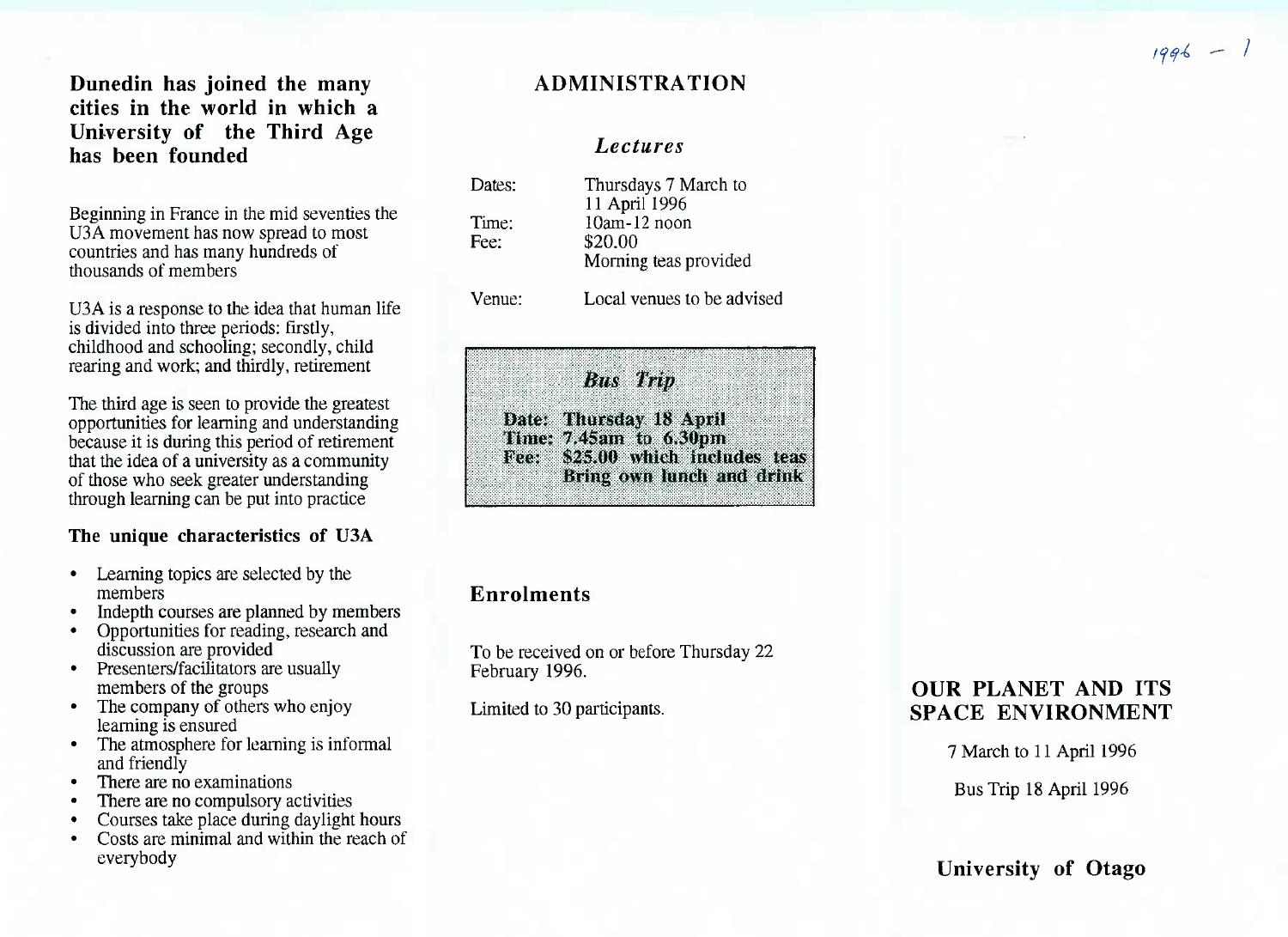**Dunedin has joined the many cities in the world in which a University of the Third Agehas been founded**

Beginning in France in the mid seventies the U3A movement has now spread to most countries and has many hundreds ofthousands of members

U3A is a response to the idea that human life is divided into three periods: firstly, childhood and schooling; secondly, childrearing and work; and thirdly, retirement

The third age is seen to provide the greatest opportunities for learning and understanding because it is during this period of retirement that the idea of a university as a community of those who seek greater understandingthrough learning can be put into practice

#### **The unique characteristics of U3A**

- Learning topics are selected by themembers
- Indepth courses are planned by members
- Opportunities for reading, research anddiscussion are provided
- Presenters/facilitators are usuallymembers of the groups
- • The company of others who enjoylearning is ensured
- The atmosphere for learning is informaland friendly
- There are no examinations
- There are no compulsory activities
- Courses take place during daylight hours
- Costs are minimal and within the reach ofeverybody

# **ADMINISTRATION**

#### *Lectures*

| Dates:        | Thursdays 7 March to<br>11 April 1996               |
|---------------|-----------------------------------------------------|
| Time:<br>Fee: | 10am-12 noon<br>\$20.00                             |
| Venue:        | Morning teas provided<br>Local venues to be advised |

Bus Willi **'Date:'- Thursday 1 8 April** jlll|l|| **Time; 7.45ain to 6.30p**m to 6.30pm<br>A which includes teas **\$25,00 which includes** teas**Bring own itiiich and drink**

# **Enrolments**

To be received on or before Thursday 22February 1996.

Limited to 30 participants.

# **OUR PLANET AND ITSSPACE ENVIRONMENT**

7 March to 11 April 1996

Bus Trip 18 April 1996

**University of Otago**